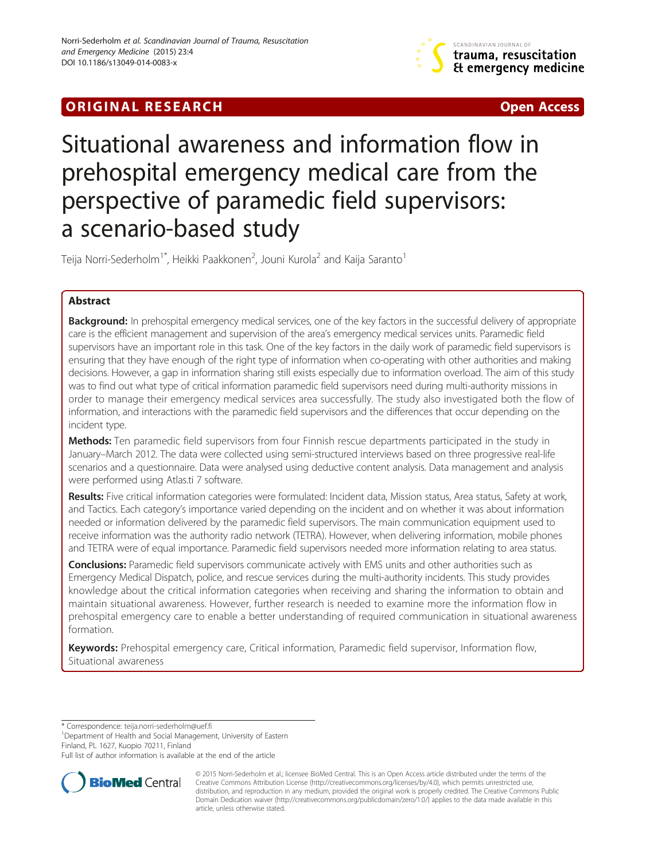## **ORIGINAL RESEARCH CONFIDENTIAL CONSUMING A LIGHT CONFIDENTIAL CONSUMING A LIGHT CONFIDENTIAL CONFIDENTIAL CONSU**



# Situational awareness and information flow in prehospital emergency medical care from the perspective of paramedic field supervisors: a scenario-based study

Teija Norri-Sederholm $^{\text{1*}}$ , Heikki Paakkonen $^{\text{2}}$ , Jouni Kurola $^{\text{2}}$  and Kaija Saranto $^{\text{1}}$ 

### Abstract

**Background:** In prehospital emergency medical services, one of the key factors in the successful delivery of appropriate care is the efficient management and supervision of the area's emergency medical services units. Paramedic field supervisors have an important role in this task. One of the key factors in the daily work of paramedic field supervisors is ensuring that they have enough of the right type of information when co-operating with other authorities and making decisions. However, a gap in information sharing still exists especially due to information overload. The aim of this study was to find out what type of critical information paramedic field supervisors need during multi-authority missions in order to manage their emergency medical services area successfully. The study also investigated both the flow of information, and interactions with the paramedic field supervisors and the differences that occur depending on the incident type.

Methods: Ten paramedic field supervisors from four Finnish rescue departments participated in the study in January–March 2012. The data were collected using semi-structured interviews based on three progressive real-life scenarios and a questionnaire. Data were analysed using deductive content analysis. Data management and analysis were performed using Atlas.ti 7 software.

Results: Five critical information categories were formulated: Incident data, Mission status, Area status, Safety at work, and Tactics. Each category's importance varied depending on the incident and on whether it was about information needed or information delivered by the paramedic field supervisors. The main communication equipment used to receive information was the authority radio network (TETRA). However, when delivering information, mobile phones and TETRA were of equal importance. Paramedic field supervisors needed more information relating to area status.

**Conclusions:** Paramedic field supervisors communicate actively with EMS units and other authorities such as Emergency Medical Dispatch, police, and rescue services during the multi-authority incidents. This study provides knowledge about the critical information categories when receiving and sharing the information to obtain and maintain situational awareness. However, further research is needed to examine more the information flow in prehospital emergency care to enable a better understanding of required communication in situational awareness formation.

Keywords: Prehospital emergency care, Critical information, Paramedic field supervisor, Information flow, Situational awareness

\* Correspondence: [teija.norri-sederholm@uef.fi](mailto:teija.norri-sederholm@uef.fi) <sup>1</sup>

Department of Health and Social Management, University of Eastern Finland, PL 1627, Kuopio 70211, Finland

Full list of author information is available at the end of the article



<sup>© 2015</sup> Norri-Sederholm et al.; licensee BioMed Central. This is an Open Access article distributed under the terms of the Creative Commons Attribution License (<http://creativecommons.org/licenses/by/4.0>), which permits unrestricted use, distribution, and reproduction in any medium, provided the original work is properly credited. The Creative Commons Public Domain Dedication waiver [\(http://creativecommons.org/publicdomain/zero/1.0/\)](http://creativecommons.org/publicdomain/zero/1.0/) applies to the data made available in this article, unless otherwise stated.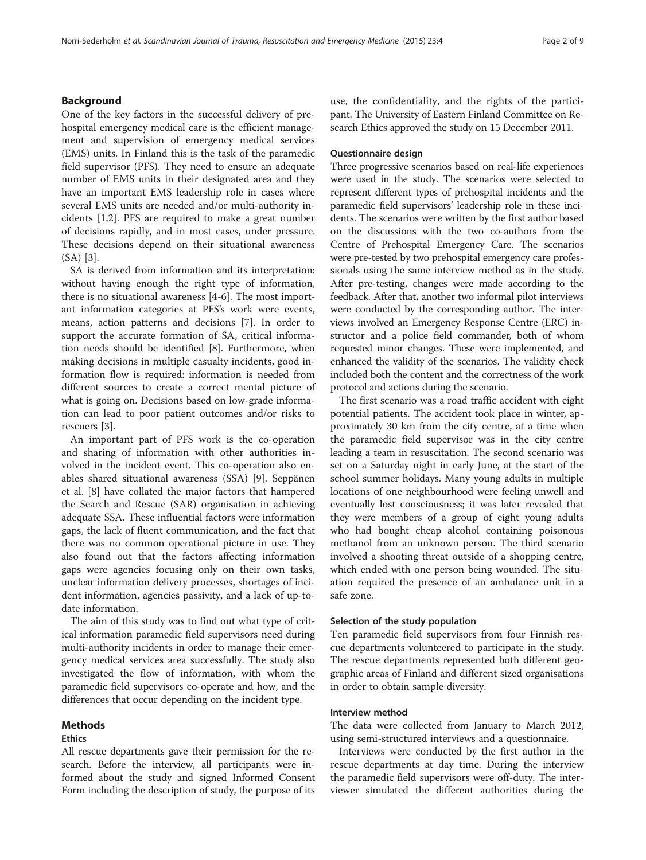#### Background

One of the key factors in the successful delivery of prehospital emergency medical care is the efficient management and supervision of emergency medical services (EMS) units. In Finland this is the task of the paramedic field supervisor (PFS). They need to ensure an adequate number of EMS units in their designated area and they have an important EMS leadership role in cases where several EMS units are needed and/or multi-authority incidents [[1,2\]](#page-8-0). PFS are required to make a great number of decisions rapidly, and in most cases, under pressure. These decisions depend on their situational awareness (SA) [\[3](#page-8-0)].

SA is derived from information and its interpretation: without having enough the right type of information, there is no situational awareness [[4-6\]](#page-8-0). The most important information categories at PFS's work were events, means, action patterns and decisions [\[7](#page-8-0)]. In order to support the accurate formation of SA, critical information needs should be identified [[8\]](#page-8-0). Furthermore, when making decisions in multiple casualty incidents, good information flow is required: information is needed from different sources to create a correct mental picture of what is going on. Decisions based on low-grade information can lead to poor patient outcomes and/or risks to rescuers [\[3](#page-8-0)].

An important part of PFS work is the co-operation and sharing of information with other authorities involved in the incident event. This co-operation also enables shared situational awareness (SSA) [\[9](#page-8-0)]. Seppänen et al. [\[8](#page-8-0)] have collated the major factors that hampered the Search and Rescue (SAR) organisation in achieving adequate SSA. These influential factors were information gaps, the lack of fluent communication, and the fact that there was no common operational picture in use. They also found out that the factors affecting information gaps were agencies focusing only on their own tasks, unclear information delivery processes, shortages of incident information, agencies passivity, and a lack of up-todate information.

The aim of this study was to find out what type of critical information paramedic field supervisors need during multi-authority incidents in order to manage their emergency medical services area successfully. The study also investigated the flow of information, with whom the paramedic field supervisors co-operate and how, and the differences that occur depending on the incident type.

#### Methods

#### Ethics

All rescue departments gave their permission for the research. Before the interview, all participants were informed about the study and signed Informed Consent Form including the description of study, the purpose of its

use, the confidentiality, and the rights of the participant. The University of Eastern Finland Committee on Research Ethics approved the study on 15 December 2011.

#### Questionnaire design

Three progressive scenarios based on real-life experiences were used in the study. The scenarios were selected to represent different types of prehospital incidents and the paramedic field supervisors' leadership role in these incidents. The scenarios were written by the first author based on the discussions with the two co-authors from the Centre of Prehospital Emergency Care. The scenarios were pre-tested by two prehospital emergency care professionals using the same interview method as in the study. After pre-testing, changes were made according to the feedback. After that, another two informal pilot interviews were conducted by the corresponding author. The interviews involved an Emergency Response Centre (ERC) instructor and a police field commander, both of whom requested minor changes. These were implemented, and enhanced the validity of the scenarios. The validity check included both the content and the correctness of the work protocol and actions during the scenario.

The first scenario was a road traffic accident with eight potential patients. The accident took place in winter, approximately 30 km from the city centre, at a time when the paramedic field supervisor was in the city centre leading a team in resuscitation. The second scenario was set on a Saturday night in early June, at the start of the school summer holidays. Many young adults in multiple locations of one neighbourhood were feeling unwell and eventually lost consciousness; it was later revealed that they were members of a group of eight young adults who had bought cheap alcohol containing poisonous methanol from an unknown person. The third scenario involved a shooting threat outside of a shopping centre, which ended with one person being wounded. The situation required the presence of an ambulance unit in a safe zone.

#### Selection of the study population

Ten paramedic field supervisors from four Finnish rescue departments volunteered to participate in the study. The rescue departments represented both different geographic areas of Finland and different sized organisations in order to obtain sample diversity.

#### Interview method

The data were collected from January to March 2012, using semi-structured interviews and a questionnaire.

Interviews were conducted by the first author in the rescue departments at day time. During the interview the paramedic field supervisors were off-duty. The interviewer simulated the different authorities during the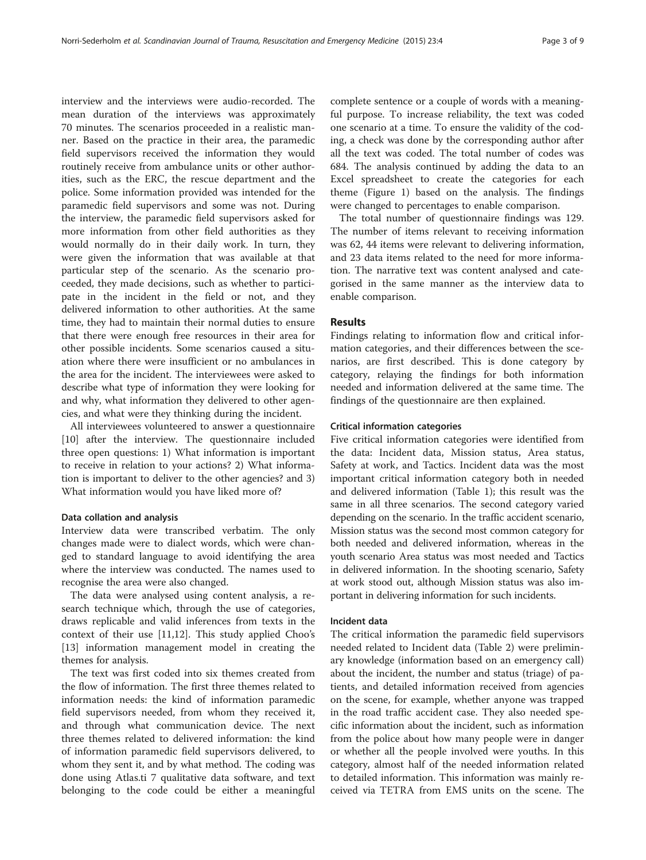interview and the interviews were audio-recorded. The mean duration of the interviews was approximately 70 minutes. The scenarios proceeded in a realistic manner. Based on the practice in their area, the paramedic field supervisors received the information they would routinely receive from ambulance units or other authorities, such as the ERC, the rescue department and the police. Some information provided was intended for the paramedic field supervisors and some was not. During the interview, the paramedic field supervisors asked for more information from other field authorities as they would normally do in their daily work. In turn, they were given the information that was available at that particular step of the scenario. As the scenario proceeded, they made decisions, such as whether to participate in the incident in the field or not, and they delivered information to other authorities. At the same time, they had to maintain their normal duties to ensure that there were enough free resources in their area for other possible incidents. Some scenarios caused a situation where there were insufficient or no ambulances in the area for the incident. The interviewees were asked to describe what type of information they were looking for and why, what information they delivered to other agencies, and what were they thinking during the incident.

All interviewees volunteered to answer a questionnaire [[10\]](#page-8-0) after the interview. The questionnaire included three open questions: 1) What information is important to receive in relation to your actions? 2) What information is important to deliver to the other agencies? and 3) What information would you have liked more of?

#### Data collation and analysis

Interview data were transcribed verbatim. The only changes made were to dialect words, which were changed to standard language to avoid identifying the area where the interview was conducted. The names used to recognise the area were also changed.

The data were analysed using content analysis, a research technique which, through the use of categories, draws replicable and valid inferences from texts in the context of their use [[11,12\]](#page-8-0). This study applied Choo's [[13\]](#page-8-0) information management model in creating the themes for analysis.

The text was first coded into six themes created from the flow of information. The first three themes related to information needs: the kind of information paramedic field supervisors needed, from whom they received it, and through what communication device. The next three themes related to delivered information: the kind of information paramedic field supervisors delivered, to whom they sent it, and by what method. The coding was done using Atlas.ti 7 qualitative data software, and text belonging to the code could be either a meaningful

complete sentence or a couple of words with a meaningful purpose. To increase reliability, the text was coded one scenario at a time. To ensure the validity of the coding, a check was done by the corresponding author after all the text was coded. The total number of codes was 684. The analysis continued by adding the data to an Excel spreadsheet to create the categories for each theme (Figure [1\)](#page-3-0) based on the analysis. The findings were changed to percentages to enable comparison.

The total number of questionnaire findings was 129. The number of items relevant to receiving information was 62, 44 items were relevant to delivering information, and 23 data items related to the need for more information. The narrative text was content analysed and categorised in the same manner as the interview data to enable comparison.

#### Results

Findings relating to information flow and critical information categories, and their differences between the scenarios, are first described. This is done category by category, relaying the findings for both information needed and information delivered at the same time. The findings of the questionnaire are then explained.

#### Critical information categories

Five critical information categories were identified from the data: Incident data, Mission status, Area status, Safety at work, and Tactics. Incident data was the most important critical information category both in needed and delivered information (Table [1](#page-3-0)); this result was the same in all three scenarios. The second category varied depending on the scenario. In the traffic accident scenario, Mission status was the second most common category for both needed and delivered information, whereas in the youth scenario Area status was most needed and Tactics in delivered information. In the shooting scenario, Safety at work stood out, although Mission status was also important in delivering information for such incidents.

#### Incident data

The critical information the paramedic field supervisors needed related to Incident data (Table [2](#page-4-0)) were preliminary knowledge (information based on an emergency call) about the incident, the number and status (triage) of patients, and detailed information received from agencies on the scene, for example, whether anyone was trapped in the road traffic accident case. They also needed specific information about the incident, such as information from the police about how many people were in danger or whether all the people involved were youths. In this category, almost half of the needed information related to detailed information. This information was mainly received via TETRA from EMS units on the scene. The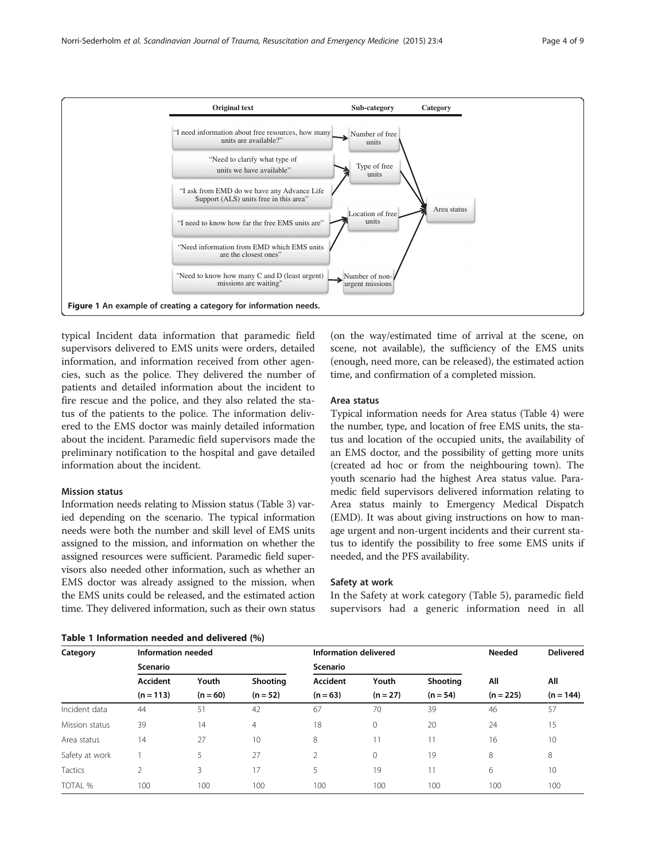<span id="page-3-0"></span>

typical Incident data information that paramedic field supervisors delivered to EMS units were orders, detailed information, and information received from other agencies, such as the police. They delivered the number of patients and detailed information about the incident to fire rescue and the police, and they also related the status of the patients to the police. The information delivered to the EMS doctor was mainly detailed information about the incident. Paramedic field supervisors made the preliminary notification to the hospital and gave detailed information about the incident.

#### Mission status

Information needs relating to Mission status (Table [3](#page-4-0)) varied depending on the scenario. The typical information needs were both the number and skill level of EMS units assigned to the mission, and information on whether the assigned resources were sufficient. Paramedic field supervisors also needed other information, such as whether an EMS doctor was already assigned to the mission, when the EMS units could be released, and the estimated action time. They delivered information, such as their own status (on the way/estimated time of arrival at the scene, on scene, not available), the sufficiency of the EMS units (enough, need more, can be released), the estimated action time, and confirmation of a completed mission.

#### Area status

Typical information needs for Area status (Table [4\)](#page-5-0) were the number, type, and location of free EMS units, the status and location of the occupied units, the availability of an EMS doctor, and the possibility of getting more units (created ad hoc or from the neighbouring town). The youth scenario had the highest Area status value. Paramedic field supervisors delivered information relating to Area status mainly to Emergency Medical Dispatch (EMD). It was about giving instructions on how to manage urgent and non-urgent incidents and their current status to identify the possibility to free some EMS units if needed, and the PFS availability.

#### Safety at work

In the Safety at work category (Table [5](#page-5-0)), paramedic field supervisors had a generic information need in all

| Category       | Information needed<br>Scenario |            |                        | <b>Information delivered</b><br>Scenario |                     |                               | <b>Needed</b>      | <b>Delivered</b>   |
|----------------|--------------------------------|------------|------------------------|------------------------------------------|---------------------|-------------------------------|--------------------|--------------------|
|                |                                |            |                        |                                          |                     |                               |                    |                    |
|                | <b>Accident</b><br>$(n = 113)$ | Youth      | Shooting<br>$(n = 52)$ | <b>Accident</b><br>$(n = 63)$            | Youth<br>$(n = 27)$ | <b>Shooting</b><br>$(n = 54)$ | All<br>$(n = 225)$ | ΑII<br>$(n = 144)$ |
|                |                                | $(n = 60)$ |                        |                                          |                     |                               |                    |                    |
| Incident data  | 44                             | 51         | 42                     | 67                                       | 70                  | 39                            | 46                 | 57                 |
| Mission status | 39                             | 14         | 4                      | 18                                       | 0                   | 20                            | 24                 | 15                 |
| Area status    | 14                             | 27         | 10                     | 8                                        | 11                  | 11                            | 16                 | 10                 |
| Safety at work |                                | 5          | 27                     | $\overline{2}$                           | $\Omega$            | 19                            | 8                  | 8                  |
| Tactics        | 2                              | 3          | 17                     | 5                                        | 19                  | 11                            | 6                  | 10                 |
| <b>TOTAL %</b> | 100                            | 100        | 100                    | 100                                      | 100                 | 100                           | 100                | 100                |

#### Table 1 Information needed and delivered (%)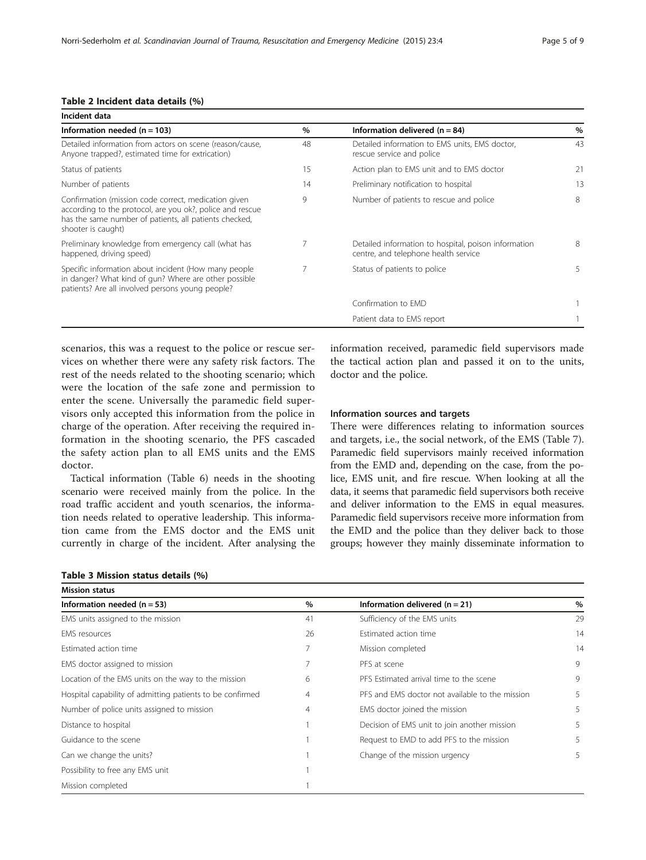#### <span id="page-4-0"></span>Table 2 Incident data details (%)

| Incident data                                                                                                                                                                                     |      |                                                                                              |      |
|---------------------------------------------------------------------------------------------------------------------------------------------------------------------------------------------------|------|----------------------------------------------------------------------------------------------|------|
| Information needed ( $n = 103$ )                                                                                                                                                                  | $\%$ | Information delivered ( $n = 84$ )                                                           | $\%$ |
| Detailed information from actors on scene (reason/cause,<br>Anyone trapped?, estimated time for extrication)                                                                                      | 48   | Detailed information to EMS units, EMS doctor,<br>rescue service and police                  | 43   |
| Status of patients                                                                                                                                                                                | 15   | Action plan to EMS unit and to EMS doctor                                                    | 21   |
| Number of patients                                                                                                                                                                                | 14   | Preliminary notification to hospital                                                         | 13   |
| Confirmation (mission code correct, medication given<br>according to the protocol, are you ok?, police and rescue<br>has the same number of patients, all patients checked,<br>shooter is caught) | 9    | Number of patients to rescue and police                                                      | 8    |
| Preliminary knowledge from emergency call (what has<br>happened, driving speed)                                                                                                                   |      | Detailed information to hospital, poison information<br>centre, and telephone health service | 8    |
| Specific information about incident (How many people<br>in danger? What kind of gun? Where are other possible<br>patients? Are all involved persons young people?                                 |      | Status of patients to police                                                                 | 5.   |
|                                                                                                                                                                                                   |      | Confirmation to EMD                                                                          |      |
|                                                                                                                                                                                                   |      | Patient data to EMS report                                                                   |      |

scenarios, this was a request to the police or rescue services on whether there were any safety risk factors. The rest of the needs related to the shooting scenario; which were the location of the safe zone and permission to enter the scene. Universally the paramedic field supervisors only accepted this information from the police in charge of the operation. After receiving the required information in the shooting scenario, the PFS cascaded the safety action plan to all EMS units and the EMS doctor.

Tactical information (Table [6](#page-6-0)) needs in the shooting scenario were received mainly from the police. In the road traffic accident and youth scenarios, the information needs related to operative leadership. This information came from the EMS doctor and the EMS unit currently in charge of the incident. After analysing the

| Table 3 Mission status details (%) |  |  |
|------------------------------------|--|--|
|------------------------------------|--|--|

Mission status

information received, paramedic field supervisors made the tactical action plan and passed it on to the units, doctor and the police.

#### Information sources and targets

There were differences relating to information sources and targets, i.e., the social network, of the EMS (Table [7](#page-6-0)). Paramedic field supervisors mainly received information from the EMD and, depending on the case, from the police, EMS unit, and fire rescue. When looking at all the data, it seems that paramedic field supervisors both receive and deliver information to the EMS in equal measures. Paramedic field supervisors receive more information from the EMD and the police than they deliver back to those groups; however they mainly disseminate information to

| נטואינ ווטוננוויו                                         |                |                                                 |      |  |
|-----------------------------------------------------------|----------------|-------------------------------------------------|------|--|
| Information needed ( $n = 53$ )                           | $\%$           | Information delivered $(n = 21)$                | $\%$ |  |
| EMS units assigned to the mission                         | 41             | Sufficiency of the EMS units                    | 29   |  |
| <b>EMS</b> resources                                      | 26             | Estimated action time                           | 14   |  |
| Estimated action time                                     |                | Mission completed                               | 14   |  |
| EMS doctor assigned to mission                            |                | PFS at scene                                    | 9    |  |
| Location of the EMS units on the way to the mission       | 6              | PFS Estimated arrival time to the scene         | 9    |  |
| Hospital capability of admitting patients to be confirmed | $\overline{4}$ | PFS and EMS doctor not available to the mission | 5    |  |
| Number of police units assigned to mission                | $\overline{4}$ | EMS doctor joined the mission                   | 5    |  |
| Distance to hospital                                      |                | Decision of EMS unit to join another mission    | 5    |  |
| Guidance to the scene                                     |                | Request to EMD to add PFS to the mission        | 5    |  |
| Can we change the units?                                  |                | Change of the mission urgency                   | 5.   |  |
| Possibility to free any EMS unit                          |                |                                                 |      |  |
| Mission completed                                         |                |                                                 |      |  |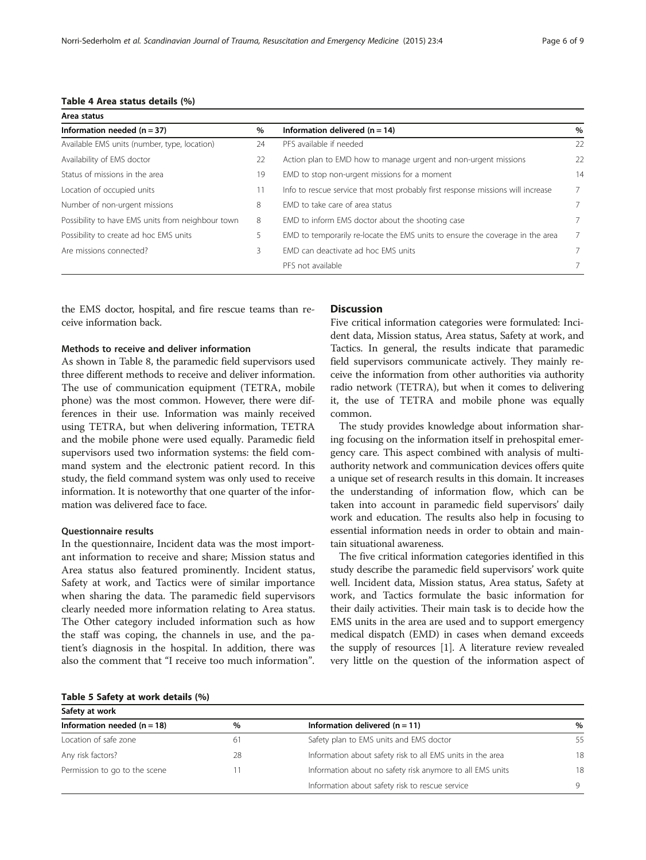| Area status                                       |    |                                                                                 |             |
|---------------------------------------------------|----|---------------------------------------------------------------------------------|-------------|
| Information needed ( $n = 37$ )                   | %  | Information delivered $(n = 14)$                                                | $\%$        |
| Available EMS units (number, type, location)      | 24 | PFS available if needed                                                         | 22          |
| Availability of EMS doctor                        | 22 | Action plan to EMD how to manage urgent and non-urgent missions                 | 22          |
| Status of missions in the area                    | 19 | EMD to stop non-urgent missions for a moment                                    | 14          |
| Location of occupied units                        | 11 | Info to rescue service that most probably first response missions will increase | $7^{\circ}$ |
| Number of non-urgent missions                     | 8  | FMD to take care of area status                                                 | 7           |
| Possibility to have EMS units from neighbour town | 8  | EMD to inform EMS doctor about the shooting case                                | 7           |
| Possibility to create ad hoc EMS units            | 5  | EMD to temporarily re-locate the EMS units to ensure the coverage in the area   | $7^{\circ}$ |
| Are missions connected?                           | 3  | FMD can deactivate ad hoc FMS units                                             | 7           |
|                                                   |    | PFS not available                                                               |             |

#### <span id="page-5-0"></span>Table 4 Area status details (%)

the EMS doctor, hospital, and fire rescue teams than receive information back.

#### Methods to receive and deliver information

As shown in Table [8](#page-7-0), the paramedic field supervisors used three different methods to receive and deliver information. The use of communication equipment (TETRA, mobile phone) was the most common. However, there were differences in their use. Information was mainly received using TETRA, but when delivering information, TETRA and the mobile phone were used equally. Paramedic field supervisors used two information systems: the field command system and the electronic patient record. In this study, the field command system was only used to receive information. It is noteworthy that one quarter of the information was delivered face to face.

#### Questionnaire results

In the questionnaire, Incident data was the most important information to receive and share; Mission status and Area status also featured prominently. Incident status, Safety at work, and Tactics were of similar importance when sharing the data. The paramedic field supervisors clearly needed more information relating to Area status. The Other category included information such as how the staff was coping, the channels in use, and the patient's diagnosis in the hospital. In addition, there was also the comment that "I receive too much information".

#### **Discussion**

Five critical information categories were formulated: Incident data, Mission status, Area status, Safety at work, and Tactics. In general, the results indicate that paramedic field supervisors communicate actively. They mainly receive the information from other authorities via authority radio network (TETRA), but when it comes to delivering it, the use of TETRA and mobile phone was equally common.

The study provides knowledge about information sharing focusing on the information itself in prehospital emergency care. This aspect combined with analysis of multiauthority network and communication devices offers quite a unique set of research results in this domain. It increases the understanding of information flow, which can be taken into account in paramedic field supervisors' daily work and education. The results also help in focusing to essential information needs in order to obtain and maintain situational awareness.

The five critical information categories identified in this study describe the paramedic field supervisors' work quite well. Incident data, Mission status, Area status, Safety at work, and Tactics formulate the basic information for their daily activities. Their main task is to decide how the EMS units in the area are used and to support emergency medical dispatch (EMD) in cases when demand exceeds the supply of resources [\[1](#page-8-0)]. A literature review revealed very little on the question of the information aspect of

| Table 5 Safety at work details (%) |  |  |  |  |
|------------------------------------|--|--|--|--|
|------------------------------------|--|--|--|--|

| Safety at work                  |    |                                                            |    |
|---------------------------------|----|------------------------------------------------------------|----|
| Information needed ( $n = 18$ ) | %  | Information delivered $(n = 11)$                           | %  |
| Location of safe zone           | 61 | Safety plan to EMS units and EMS doctor                    | 55 |
| Any risk factors?               | 28 | Information about safety risk to all EMS units in the area | 18 |
| Permission to go to the scene   |    | Information about no safety risk anymore to all EMS units  | 18 |
|                                 |    | Information about safety risk to rescue service            |    |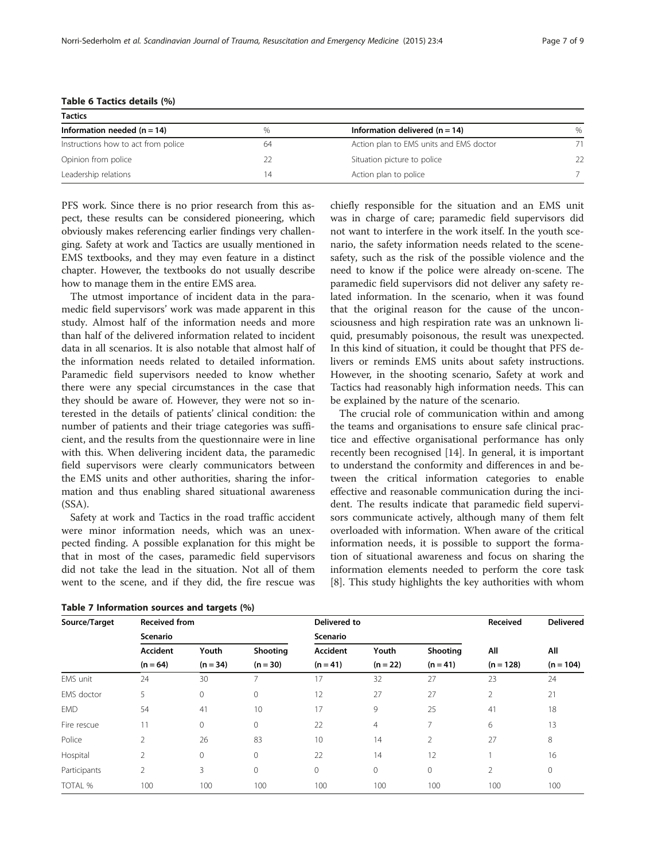| <b>Tactics</b>                      |    |                                         |      |  |  |  |
|-------------------------------------|----|-----------------------------------------|------|--|--|--|
| Information needed ( $n = 14$ )     | %  | Information delivered $(n = 14)$        | $\%$ |  |  |  |
| Instructions how to act from police | 64 | Action plan to EMS units and EMS doctor | 71   |  |  |  |
| Opinion from police                 |    | Situation picture to police             | 22   |  |  |  |
| Leadership relations                | 4  | Action plan to police                   |      |  |  |  |

<span id="page-6-0"></span>Table 6 Tactics details (%)

PFS work. Since there is no prior research from this aspect, these results can be considered pioneering, which obviously makes referencing earlier findings very challenging. Safety at work and Tactics are usually mentioned in EMS textbooks, and they may even feature in a distinct chapter. However, the textbooks do not usually describe how to manage them in the entire EMS area.

The utmost importance of incident data in the paramedic field supervisors' work was made apparent in this study. Almost half of the information needs and more than half of the delivered information related to incident data in all scenarios. It is also notable that almost half of the information needs related to detailed information. Paramedic field supervisors needed to know whether there were any special circumstances in the case that they should be aware of. However, they were not so interested in the details of patients' clinical condition: the number of patients and their triage categories was sufficient, and the results from the questionnaire were in line with this. When delivering incident data, the paramedic field supervisors were clearly communicators between the EMS units and other authorities, sharing the information and thus enabling shared situational awareness (SSA).

Safety at work and Tactics in the road traffic accident were minor information needs, which was an unexpected finding. A possible explanation for this might be that in most of the cases, paramedic field supervisors did not take the lead in the situation. Not all of them went to the scene, and if they did, the fire rescue was

chiefly responsible for the situation and an EMS unit was in charge of care; paramedic field supervisors did not want to interfere in the work itself. In the youth scenario, the safety information needs related to the scenesafety, such as the risk of the possible violence and the need to know if the police were already on-scene. The paramedic field supervisors did not deliver any safety related information. In the scenario, when it was found that the original reason for the cause of the unconsciousness and high respiration rate was an unknown liquid, presumably poisonous, the result was unexpected. In this kind of situation, it could be thought that PFS delivers or reminds EMS units about safety instructions. However, in the shooting scenario, Safety at work and Tactics had reasonably high information needs. This can be explained by the nature of the scenario.

The crucial role of communication within and among the teams and organisations to ensure safe clinical practice and effective organisational performance has only recently been recognised [\[14](#page-8-0)]. In general, it is important to understand the conformity and differences in and between the critical information categories to enable effective and reasonable communication during the incident. The results indicate that paramedic field supervisors communicate actively, although many of them felt overloaded with information. When aware of the critical information needs, it is possible to support the formation of situational awareness and focus on sharing the information elements needed to perform the core task [[8\]](#page-8-0). This study highlights the key authorities with whom

| Source/Target  | <b>Received from</b><br>Scenario |                     |                        | <b>Delivered to</b><br>Scenario |                     |                        | Received           | <b>Delivered</b> |
|----------------|----------------------------------|---------------------|------------------------|---------------------------------|---------------------|------------------------|--------------------|------------------|
|                |                                  |                     |                        |                                 |                     |                        |                    |                  |
|                | <b>Accident</b>                  | Youth<br>$(n = 34)$ | Shooting<br>$(n = 30)$ | <b>Accident</b><br>$(n = 41)$   | Youth<br>$(n = 22)$ | Shooting<br>$(n = 41)$ | All<br>$(n = 128)$ | Αll              |
|                | $(n = 64)$                       |                     |                        |                                 |                     |                        |                    | $(n = 104)$      |
| EMS unit       | 24                               | 30                  | 7                      | 17                              | 32                  | 27                     | 23                 | 24               |
| EMS doctor     | 5                                | $\mathsf{O}\xspace$ | 0                      | 12                              | 27                  | 27                     | $\overline{2}$     | 21               |
| <b>EMD</b>     | 54                               | 41                  | 10                     | 17                              | 9                   | 25                     | 41                 | 18               |
| Fire rescue    | 11                               | 0                   | $\circ$                | 22                              | $\overline{4}$      |                        | 6                  | 13               |
| Police         | $\overline{2}$                   | 26                  | 83                     | 10                              | 14                  | $\overline{2}$         | 27                 | 8                |
| Hospital       | $\overline{2}$                   | $\mathbf 0$         | 0                      | 22                              | 14                  | 12                     |                    | 16               |
| Participants   | 2                                | 3                   | $\circ$                | $\mathbf 0$                     | 0                   | $\mathbf{0}$           | $\overline{2}$     | 0                |
| <b>TOTAL %</b> | 100                              | 100                 | 100                    | 100                             | 100                 | 100                    | 100                | 100              |

Table 7 Information sources and targets (%)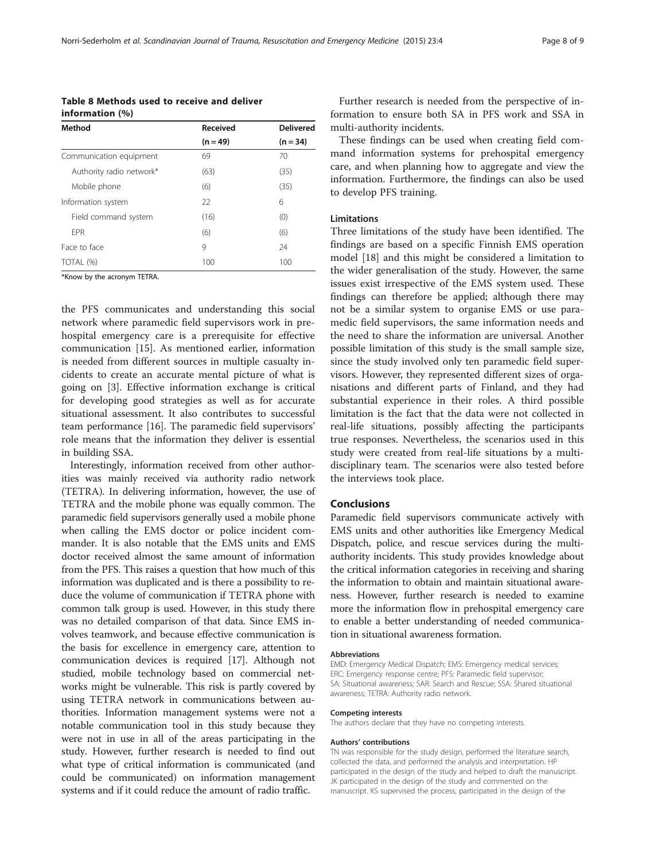<span id="page-7-0"></span>Table 8 Methods used to receive and deliver information (%)

| Method                   | <b>Received</b> | <b>Delivered</b> |  |
|--------------------------|-----------------|------------------|--|
|                          | $(n = 49)$      | $(n = 34)$       |  |
| Communication equipment  | 69              | 70               |  |
| Authority radio network* | (63)            | (35)             |  |
| Mobile phone             | (6)             | (35)             |  |
| Information system       | 22              | 6                |  |
| Field command system     | (16)            | (0)              |  |
| <b>FPR</b>               | (6)             | (6)              |  |
| Face to face             | 9               | 24               |  |
| TOTAL (%)                | 100             | 100              |  |

\*Know by the acronym TETRA.

the PFS communicates and understanding this social network where paramedic field supervisors work in prehospital emergency care is a prerequisite for effective communication [\[15](#page-8-0)]. As mentioned earlier, information is needed from different sources in multiple casualty incidents to create an accurate mental picture of what is going on [\[3](#page-8-0)]. Effective information exchange is critical for developing good strategies as well as for accurate situational assessment. It also contributes to successful team performance [\[16\]](#page-8-0). The paramedic field supervisors' role means that the information they deliver is essential in building SSA.

Interestingly, information received from other authorities was mainly received via authority radio network (TETRA). In delivering information, however, the use of TETRA and the mobile phone was equally common. The paramedic field supervisors generally used a mobile phone when calling the EMS doctor or police incident commander. It is also notable that the EMS units and EMS doctor received almost the same amount of information from the PFS. This raises a question that how much of this information was duplicated and is there a possibility to reduce the volume of communication if TETRA phone with common talk group is used. However, in this study there was no detailed comparison of that data. Since EMS involves teamwork, and because effective communication is the basis for excellence in emergency care, attention to communication devices is required [[17](#page-8-0)]. Although not studied, mobile technology based on commercial networks might be vulnerable. This risk is partly covered by using TETRA network in communications between authorities. Information management systems were not a notable communication tool in this study because they were not in use in all of the areas participating in the study. However, further research is needed to find out what type of critical information is communicated (and could be communicated) on information management systems and if it could reduce the amount of radio traffic.

Further research is needed from the perspective of information to ensure both SA in PFS work and SSA in multi-authority incidents.

These findings can be used when creating field command information systems for prehospital emergency care, and when planning how to aggregate and view the information. Furthermore, the findings can also be used to develop PFS training.

#### Limitations

Three limitations of the study have been identified. The findings are based on a specific Finnish EMS operation model [[18\]](#page-8-0) and this might be considered a limitation to the wider generalisation of the study. However, the same issues exist irrespective of the EMS system used. These findings can therefore be applied; although there may not be a similar system to organise EMS or use paramedic field supervisors, the same information needs and the need to share the information are universal. Another possible limitation of this study is the small sample size, since the study involved only ten paramedic field supervisors. However, they represented different sizes of organisations and different parts of Finland, and they had substantial experience in their roles. A third possible limitation is the fact that the data were not collected in real-life situations, possibly affecting the participants true responses. Nevertheless, the scenarios used in this study were created from real-life situations by a multidisciplinary team. The scenarios were also tested before the interviews took place.

#### Conclusions

Paramedic field supervisors communicate actively with EMS units and other authorities like Emergency Medical Dispatch, police, and rescue services during the multiauthority incidents. This study provides knowledge about the critical information categories in receiving and sharing the information to obtain and maintain situational awareness. However, further research is needed to examine more the information flow in prehospital emergency care to enable a better understanding of needed communication in situational awareness formation.

#### Abbreviations

EMD: Emergency Medical Dispatch; EMS: Emergency medical services; ERC: Emergency response centre; PFS: Paramedic field supervisor; SA: Situational awareness; SAR: Search and Rescue; SSA: Shared situational awareness; TETRA: Authority radio network.

#### Competing interests

The authors declare that they have no competing interests.

#### Authors' contributions

TN was responsible for the study design, performed the literature search, collected the data, and performed the analysis and interpretation. HF participated in the design of the study and helped to draft the manuscript. JK participated in the design of the study and commented on the manuscript. KS supervised the process, participated in the design of the